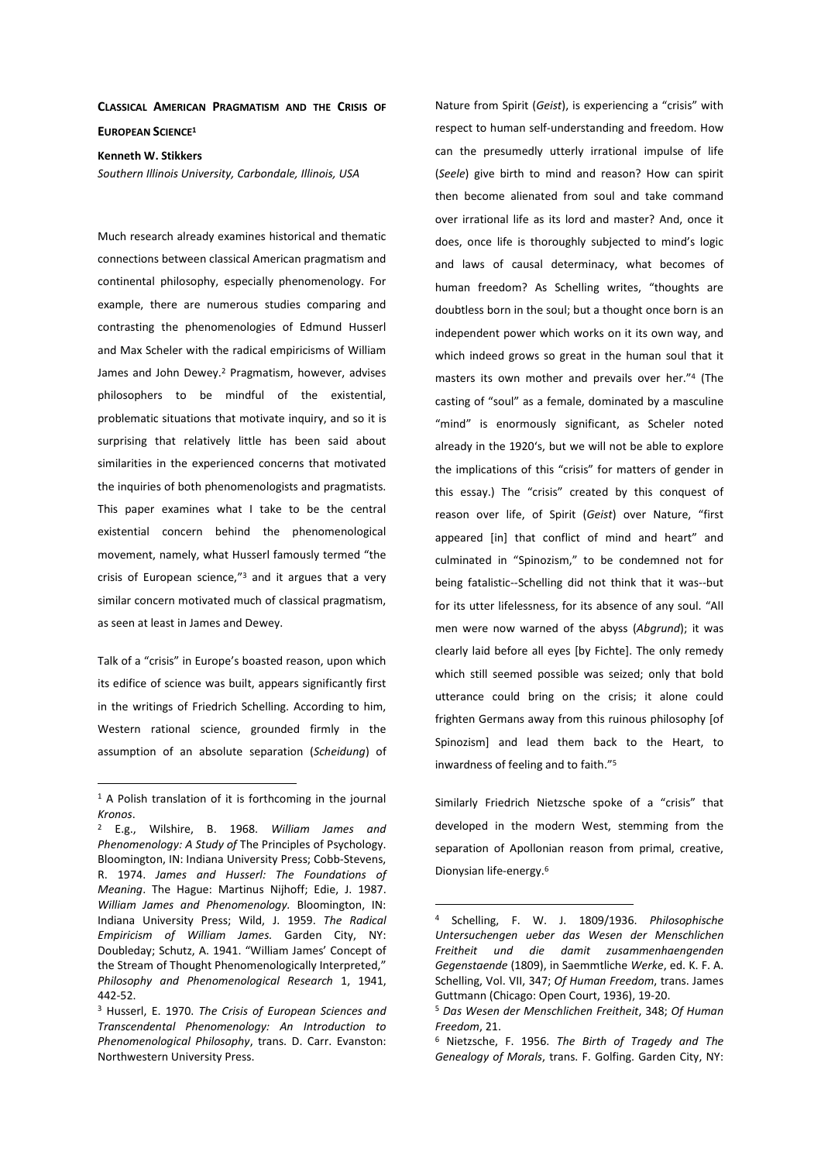## **CLASSICAL AMERICAN PRAGMATISM AND THE CRISIS OF EUROPEAN SCIENCE<sup>1</sup>**

**Kenneth W. Stikkers** 

*Southern Illinois University, Carbondale, Illinois, USA* 

Much research already examines historical and thematic connections between classical American pragmatism and continental philosophy, especially phenomenology. For example, there are numerous studies comparing and contrasting the phenomenologies of Edmund Husserl and Max Scheler with the radical empiricisms of William James and John Dewey.<sup>2</sup> Pragmatism, however, advises philosophers to be mindful of the existential, problematic situations that motivate inquiry, and so it is surprising that relatively little has been said about similarities in the experienced concerns that motivated the inquiries of both phenomenologists and pragmatists. This paper examines what I take to be the central existential concern behind the phenomenological movement, namely, what Husserl famously termed "the crisis of European science,"<sup>3</sup> and it argues that a very similar concern motivated much of classical pragmatism, as seen at least in James and Dewey.

Talk of a "crisis" in Europe's boasted reason, upon which its edifice of science was built, appears significantly first in the writings of Friedrich Schelling. According to him, Western rational science, grounded firmly in the assumption of an absolute separation (*Scheidung*) of

 $\overline{a}$ 

Nature from Spirit (*Geist*), is experiencing a "crisis" with respect to human self-understanding and freedom. How can the presumedly utterly irrational impulse of life (*Seele*) give birth to mind and reason? How can spirit then become alienated from soul and take command over irrational life as its lord and master? And, once it does, once life is thoroughly subjected to mind's logic and laws of causal determinacy, what becomes of human freedom? As Schelling writes, "thoughts are doubtless born in the soul; but a thought once born is an independent power which works on it its own way, and which indeed grows so great in the human soul that it masters its own mother and prevails over her."<sup>4</sup> (The casting of "soul" as a female, dominated by a masculine "mind" is enormously significant, as Scheler noted already in the 1920's, but we will not be able to explore the implications of this "crisis" for matters of gender in this essay.) The "crisis" created by this conquest of reason over life, of Spirit (*Geist*) over Nature, "first appeared [in] that conflict of mind and heart" and culminated in "Spinozism," to be condemned not for being fatalistic--Schelling did not think that it was--but for its utter lifelessness, for its absence of any soul. "All men were now warned of the abyss (*Abgrund*); it was clearly laid before all eyes [by Fichte]. The only remedy which still seemed possible was seized; only that bold utterance could bring on the crisis; it alone could frighten Germans away from this ruinous philosophy [of Spinozism] and lead them back to the Heart, to inwardness of feeling and to faith."<sup>5</sup>

Similarly Friedrich Nietzsche spoke of a "crisis" that developed in the modern West, stemming from the separation of Apollonian reason from primal, creative, Dionysian life-energy.<sup>6</sup>

<sup>&</sup>lt;sup>1</sup> A Polish translation of it is forthcoming in the journal *Kronos*.

<sup>2</sup> E.g., Wilshire, B. 1968. *William James and Phenomenology: A Study of* The Principles of Psychology. Bloomington, IN: Indiana University Press; Cobb-Stevens, R. 1974. *James and Husserl: The Foundations of Meaning*. The Hague: Martinus Nijhoff; Edie, J. 1987. *William James and Phenomenology.* Bloomington, IN: Indiana University Press; Wild, J. 1959. *The Radical Empiricism of William James.* Garden City, NY: Doubleday; Schutz, A. 1941. "William James' Concept of the Stream of Thought Phenomenologically Interpreted," *Philosophy and Phenomenological Research* 1, 1941, 442-52.

<sup>3</sup> Husserl, E. 1970. *The Crisis of European Sciences and Transcendental Phenomenology: An Introduction to Phenomenological Philosophy*, trans. D. Carr. Evanston: Northwestern University Press.

<sup>4</sup> Schelling, F. W. J. 1809/1936. *Philosophische Untersuchengen ueber das Wesen der Menschlichen Freitheit und die damit zusammenhaengenden Gegenstaende* (1809), in Saemmtliche *Werke*, ed. K. F. A. Schelling, Vol. VII, 347; *Of Human Freedom*, trans. James Guttmann (Chicago: Open Court, 1936), 19-20.

<sup>5</sup> *Das Wesen der Menschlichen Freitheit*, 348; *Of Human Freedom*, 21.

<sup>6</sup> Nietzsche, F. 1956. *The Birth of Tragedy and The Genealogy of Morals*, trans. F. Golfing. Garden City, NY: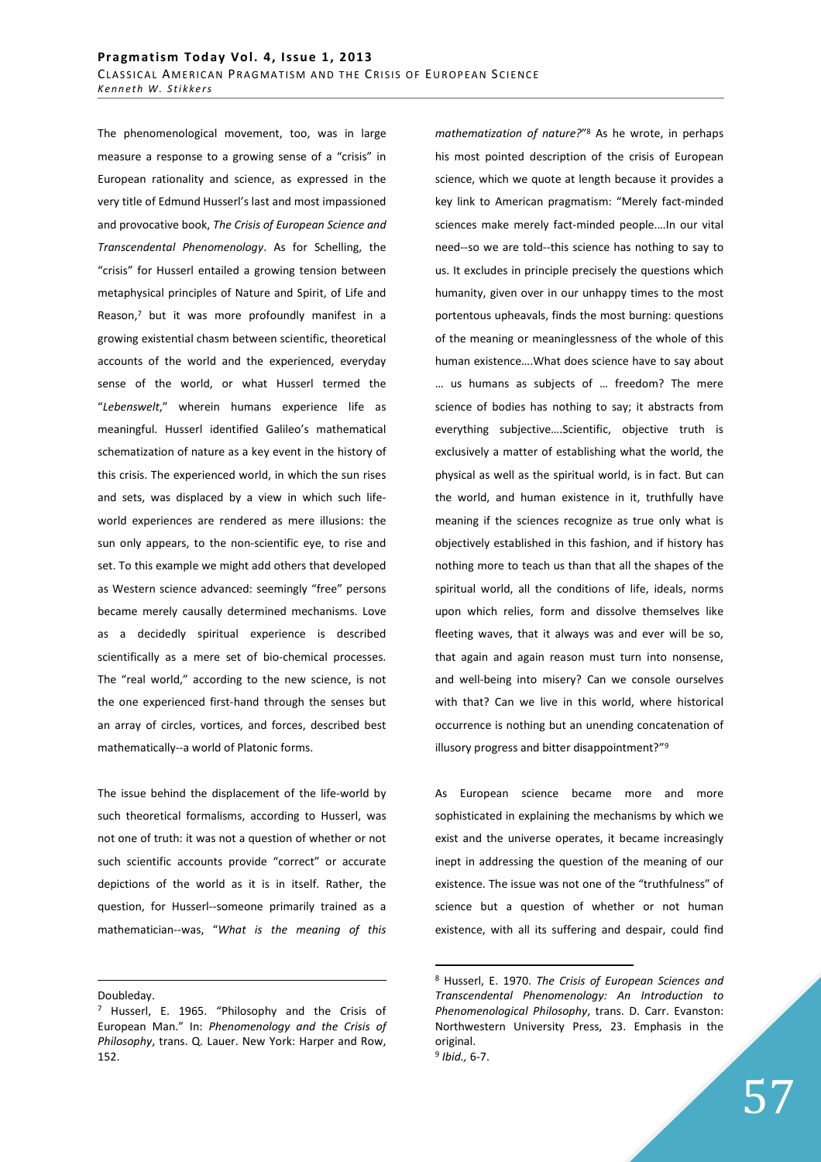The phenomenological movement, too, was in large measure a response to a growing sense of a "crisis" in European rationality and science, as expressed in the very title of Edmund Husserl's last and most impassioned and provocative book, *The Crisis of European Science and Transcendental Phenomenology*. As for Schelling, the "crisis" for Husserl entailed a growing tension between metaphysical principles of Nature and Spirit, of Life and Reason,7 but it was more profoundly manifest in a growing existential chasm between scientific, theoretical accounts of the world and the experienced, everyday sense of the world, or what Husserl termed the "*Lebenswelt*," wherein humans experience life as meaningful. Husserl identified Galileo's mathematical schematization of nature as a key event in the history of this crisis. The experienced world, in which the sun rises and sets, was displaced by a view in which such lifeworld experiences are rendered as mere illusions: the sun only appears, to the non-scientific eye, to rise and set. To this example we might add others that developed as Western science advanced: seemingly "free" persons became merely causally determined mechanisms. Love as a decidedly spiritual experience is described scientifically as a mere set of bio-chemical processes. The "real world," according to the new science, is not the one experienced first-hand through the senses but an array of circles, vortices, and forces, described best mathematically--a world of Platonic forms.

The issue behind the displacement of the life-world by such theoretical formalisms, according to Husserl, was not one of truth: it was not a question of whether or not such scientific accounts provide "correct" or accurate depictions of the world as it is in itself. Rather, the question, for Husserl--someone primarily trained as a mathematician--was, "*What is the meaning of this* 

Doubleday.

<u>.</u>

*mathematization of nature?*" 8 As he wrote, in perhaps his most pointed description of the crisis of European science, which we quote at length because it provides a key link to American pragmatism: "Merely fact-minded sciences make merely fact-minded people.…In our vital need--so we are told--this science has nothing to say to us. It excludes in principle precisely the questions which humanity, given over in our unhappy times to the most portentous upheavals, finds the most burning: questions of the meaning or meaninglessness of the whole of this human existence….What does science have to say about … us humans as subjects of … freedom? The mere science of bodies has nothing to say; it abstracts from everything subjective….Scientific, objective truth is exclusively a matter of establishing what the world, the physical as well as the spiritual world, is in fact. But can the world, and human existence in it, truthfully have meaning if the sciences recognize as true only what is objectively established in this fashion, and if history has nothing more to teach us than that all the shapes of the spiritual world, all the conditions of life, ideals, norms upon which relies, form and dissolve themselves like fleeting waves, that it always was and ever will be so, that again and again reason must turn into nonsense, and well-being into misery? Can we console ourselves with that? Can we live in this world, where historical occurrence is nothing but an unending concatenation of illusory progress and bitter disappointment?"<sup>9</sup>

As European science became more and more sophisticated in explaining the mechanisms by which we exist and the universe operates, it became increasingly inept in addressing the question of the meaning of our existence. The issue was not one of the "truthfulness" of science but a question of whether or not human existence, with all its suffering and despair, could find

<sup>&</sup>lt;sup>7</sup> Husserl, E. 1965. "Philosophy and the Crisis of European Man." In: *Phenomenology and the Crisis of Philosophy*, trans. Q. Lauer. New York: Harper and Row, 152.

<sup>8</sup> Husserl, E. 1970. *The Crisis of European Sciences and Transcendental Phenomenology: An Introduction to Phenomenological Philosophy*, trans. D. Carr. Evanston: Northwestern University Press, 23. Emphasis in the original. 9 *Ibid.,* 6-7.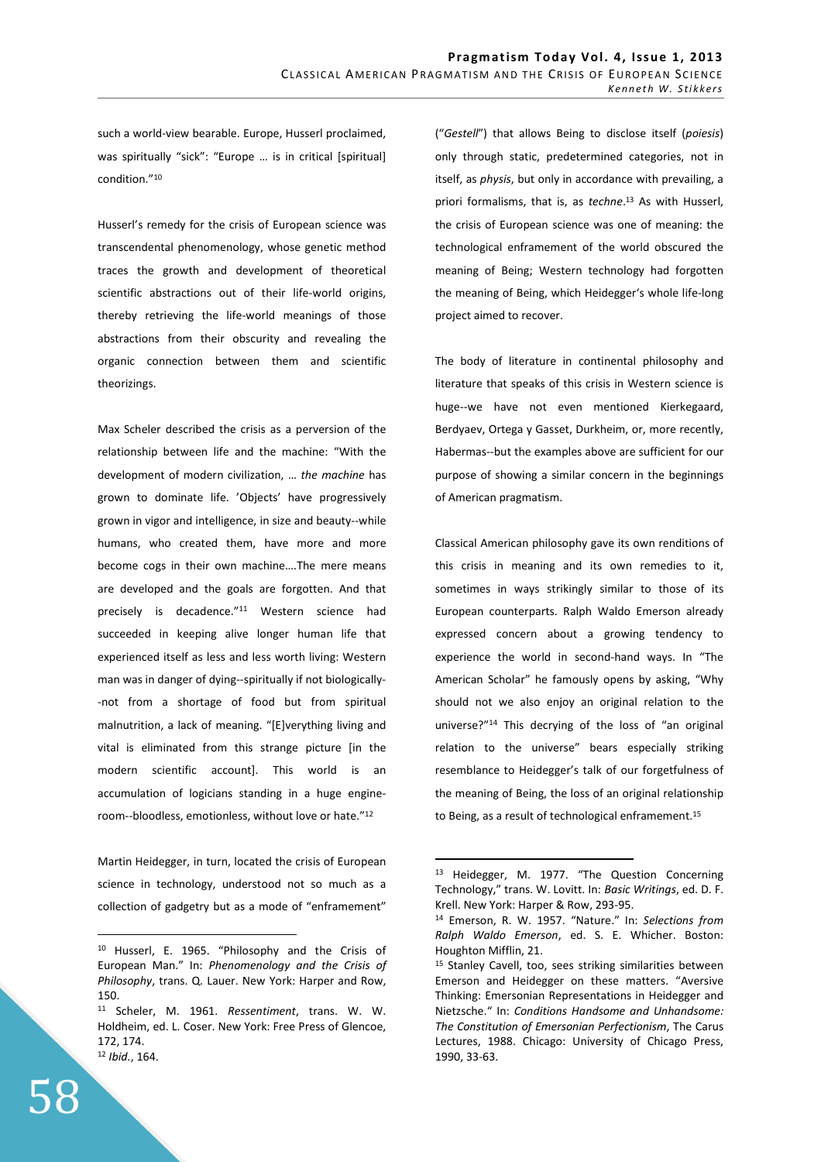such a world-view bearable. Europe, Husserl proclaimed, was spiritually "sick": "Europe … is in critical [spiritual] condition."<sup>10</sup>

Husserl's remedy for the crisis of European science was transcendental phenomenology, whose genetic method traces the growth and development of theoretical scientific abstractions out of their life-world origins, thereby retrieving the life-world meanings of those abstractions from their obscurity and revealing the organic connection between them and scientific theorizings.

Max Scheler described the crisis as a perversion of the relationship between life and the machine: "With the development of modern civilization, … *the machine* has grown to dominate life. 'Objects' have progressively grown in vigor and intelligence, in size and beauty--while humans, who created them, have more and more become cogs in their own machine….The mere means are developed and the goals are forgotten. And that precisely is decadence."<sup>11</sup> Western science had succeeded in keeping alive longer human life that experienced itself as less and less worth living: Western man was in danger of dying--spiritually if not biologically- -not from a shortage of food but from spiritual malnutrition, a lack of meaning. "[E]verything living and vital is eliminated from this strange picture [in the modern scientific account]. This world is an accumulation of logicians standing in a huge engineroom--bloodless, emotionless, without love or hate." 12

Martin Heidegger, in turn, located the crisis of European science in technology, understood not so much as a collection of gadgetry but as a mode of "enframement" ("*Gestell*") that allows Being to disclose itself (*poiesis*) only through static, predetermined categories, not in itself, as *physis*, but only in accordance with prevailing, a priori formalisms, that is, as *techne*. <sup>13</sup> As with Husserl, the crisis of European science was one of meaning: the technological enframement of the world obscured the meaning of Being; Western technology had forgotten the meaning of Being, which Heidegger's whole life-long project aimed to recover.

The body of literature in continental philosophy and literature that speaks of this crisis in Western science is huge--we have not even mentioned Kierkegaard, Berdyaev, Ortega y Gasset, Durkheim, or, more recently, Habermas--but the examples above are sufficient for our purpose of showing a similar concern in the beginnings of American pragmatism.

Classical American philosophy gave its own renditions of this crisis in meaning and its own remedies to it, sometimes in ways strikingly similar to those of its European counterparts. Ralph Waldo Emerson already expressed concern about a growing tendency to experience the world in second-hand ways. In "The American Scholar" he famously opens by asking, "Why should not we also enjoy an original relation to the universe?"<sup>14</sup> This decrying of the loss of "an original relation to the universe" bears especially striking resemblance to Heidegger's talk of our forgetfulness of the meaning of Being, the loss of an original relationship to Being, as a result of technological enframement.<sup>15</sup>

 $\overline{a}$ 

<sup>10</sup> Husserl, E. 1965. "Philosophy and the Crisis of European Man." In: *Phenomenology and the Crisis of Philosophy*, trans. Q. Lauer. New York: Harper and Row, 150.

<sup>11</sup> Scheler, M. 1961. *Ressentiment*, trans. W. W. Holdheim, ed. L. Coser. New York: Free Press of Glencoe, 172, 174. <sup>12</sup> *Ibid.*, 164.

<sup>13</sup> Heidegger, M. 1977. "The Question Concerning Technology," trans. W. Lovitt. In: *Basic Writings*, ed. D. F. Krell. New York: Harper & Row, 293-95.

<sup>14</sup> Emerson, R. W. 1957. "Nature." In: *Selections from Ralph Waldo Emerson*, ed. S. E. Whicher. Boston: Houghton Mifflin, 21.

<sup>15</sup> Stanley Cavell, too, sees striking similarities between Emerson and Heidegger on these matters. "Aversive Thinking: Emersonian Representations in Heidegger and Nietzsche." In: *Conditions Handsome and Unhandsome: The Constitution of Emersonian Perfectionism*, The Carus Lectures, 1988. Chicago: University of Chicago Press, 1990, 33-63.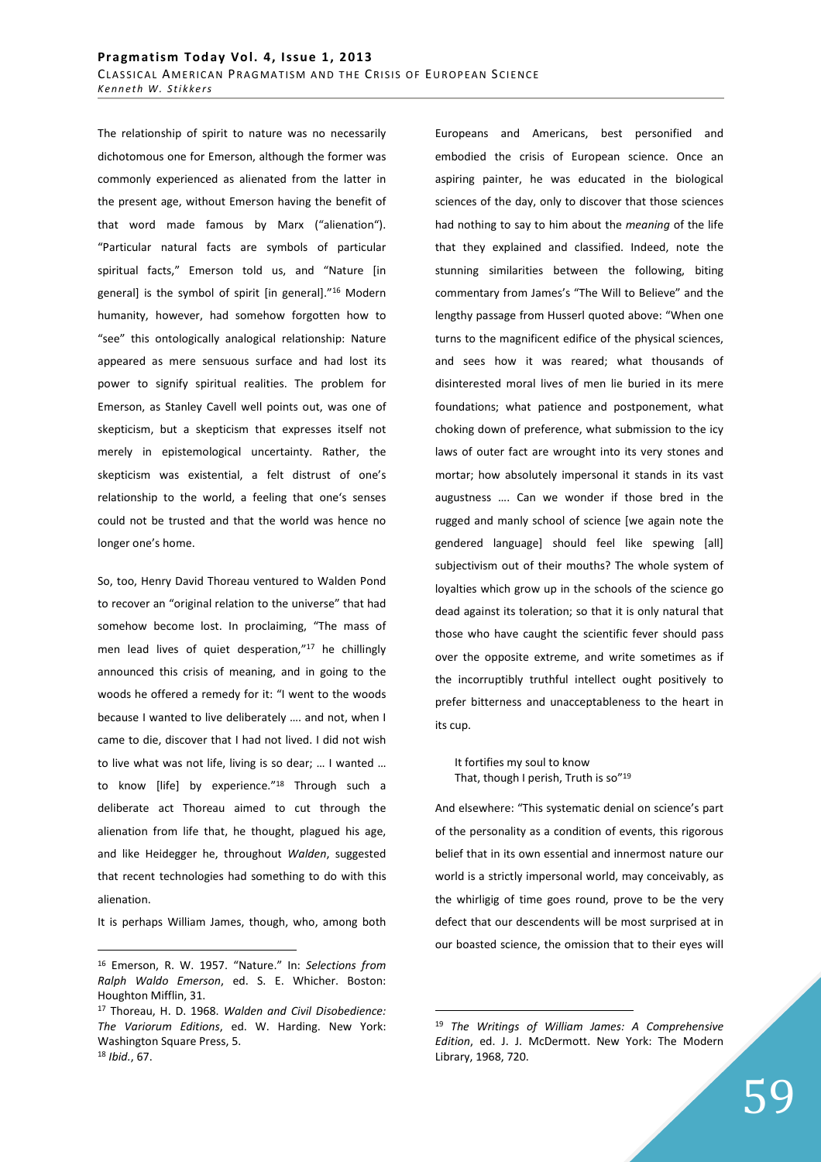The relationship of spirit to nature was no necessarily dichotomous one for Emerson, although the former was commonly experienced as alienated from the latter in the present age, without Emerson having the benefit of that word made famous by Marx ("alienation"). "Particular natural facts are symbols of particular spiritual facts," Emerson told us, and "Nature [in general] is the symbol of spirit [in general]."<sup>16</sup> Modern humanity, however, had somehow forgotten how to "see" this ontologically analogical relationship: Nature appeared as mere sensuous surface and had lost its power to signify spiritual realities. The problem for Emerson, as Stanley Cavell well points out, was one of skepticism, but a skepticism that expresses itself not merely in epistemological uncertainty. Rather, the skepticism was existential, a felt distrust of one's relationship to the world, a feeling that one's senses could not be trusted and that the world was hence no longer one's home.

So, too, Henry David Thoreau ventured to Walden Pond to recover an "original relation to the universe" that had somehow become lost. In proclaiming, "The mass of men lead lives of quiet desperation,"<sup>17</sup> he chillingly announced this crisis of meaning, and in going to the woods he offered a remedy for it: "I went to the woods because I wanted to live deliberately …. and not, when I came to die, discover that I had not lived. I did not wish to live what was not life, living is so dear; … I wanted … to know [life] by experience."<sup>18</sup> Through such a deliberate act Thoreau aimed to cut through the alienation from life that, he thought, plagued his age, and like Heidegger he, throughout *Walden*, suggested that recent technologies had something to do with this alienation.

It is perhaps William James, though, who, among both

 $\overline{a}$ 

Europeans and Americans, best personified and embodied the crisis of European science. Once an aspiring painter, he was educated in the biological sciences of the day, only to discover that those sciences had nothing to say to him about the *meaning* of the life that they explained and classified. Indeed, note the stunning similarities between the following, biting commentary from James's "The Will to Believe" and the lengthy passage from Husserl quoted above: "When one turns to the magnificent edifice of the physical sciences, and sees how it was reared; what thousands of disinterested moral lives of men lie buried in its mere foundations; what patience and postponement, what choking down of preference, what submission to the icy laws of outer fact are wrought into its very stones and mortar; how absolutely impersonal it stands in its vast augustness …. Can we wonder if those bred in the rugged and manly school of science [we again note the gendered language] should feel like spewing [all] subjectivism out of their mouths? The whole system of loyalties which grow up in the schools of the science go dead against its toleration; so that it is only natural that those who have caught the scientific fever should pass over the opposite extreme, and write sometimes as if the incorruptibly truthful intellect ought positively to prefer bitterness and unacceptableness to the heart in its cup.

It fortifies my soul to know That, though I perish, Truth is so"<sup>19</sup>

And elsewhere: "This systematic denial on science's part of the personality as a condition of events, this rigorous belief that in its own essential and innermost nature our world is a strictly impersonal world, may conceivably, as the whirligig of time goes round, prove to be the very defect that our descendents will be most surprised at in our boasted science, the omission that to their eyes will

<sup>16</sup> Emerson, R. W. 1957. "Nature." In: *Selections from Ralph Waldo Emerson*, ed. S. E. Whicher. Boston: Houghton Mifflin, 31.

<sup>17</sup> Thoreau, H. D. 1968. *Walden and Civil Disobedience: The Variorum Editions*, ed. W. Harding. New York: Washington Square Press, 5. <sup>18</sup> *Ibid.*, 67.

<sup>19</sup> *The Writings of William James: A Comprehensive Edition*, ed. J. J. McDermott. New York: The Modern Library, 1968, 720.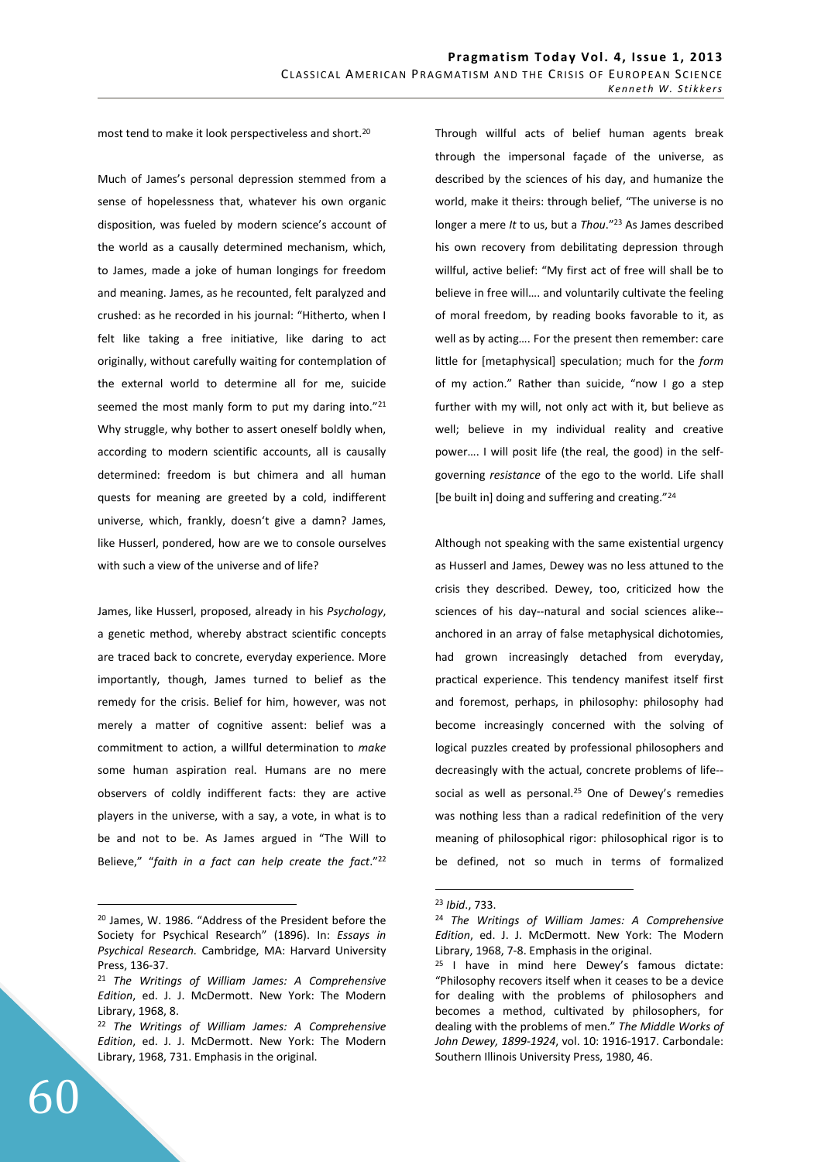most tend to make it look perspectiveless and short. 20

Much of James's personal depression stemmed from a sense of hopelessness that, whatever his own organic disposition, was fueled by modern science's account of the world as a causally determined mechanism, which, to James, made a joke of human longings for freedom and meaning. James, as he recounted, felt paralyzed and crushed: as he recorded in his journal: "Hitherto, when I felt like taking a free initiative, like daring to act originally, without carefully waiting for contemplation of the external world to determine all for me, suicide seemed the most manly form to put my daring into."21 Why struggle, why bother to assert oneself boldly when, according to modern scientific accounts, all is causally determined: freedom is but chimera and all human quests for meaning are greeted by a cold, indifferent universe, which, frankly, doesn't give a damn? James, like Husserl, pondered, how are we to console ourselves with such a view of the universe and of life?

James, like Husserl, proposed, already in his *Psychology*, a genetic method, whereby abstract scientific concepts are traced back to concrete, everyday experience. More importantly, though, James turned to belief as the remedy for the crisis. Belief for him, however, was not merely a matter of cognitive assent: belief was a commitment to action, a willful determination to *make* some human aspiration real. Humans are no mere observers of coldly indifferent facts: they are active players in the universe, with a say, a vote, in what is to be and not to be. As James argued in "The Will to Believe," "*faith in a fact can help create the fact*."<sup>22</sup> Through willful acts of belief human agents break through the impersonal façade of the universe, as described by the sciences of his day, and humanize the world, make it theirs: through belief, "The universe is no longer a mere *It* to us, but a *Thou*."<sup>23</sup> As James described his own recovery from debilitating depression through willful, active belief: "My first act of free will shall be to believe in free will…. and voluntarily cultivate the feeling of moral freedom, by reading books favorable to it, as well as by acting…. For the present then remember: care little for [metaphysical] speculation; much for the *form* of my action." Rather than suicide, "now I go a step further with my will, not only act with it, but believe as well; believe in my individual reality and creative power…. I will posit life (the real, the good) in the selfgoverning *resistance* of the ego to the world. Life shall [be built in] doing and suffering and creating."<sup>24</sup>

Although not speaking with the same existential urgency as Husserl and James, Dewey was no less attuned to the crisis they described. Dewey, too, criticized how the sciences of his day--natural and social sciences alike- anchored in an array of false metaphysical dichotomies, had grown increasingly detached from everyday, practical experience. This tendency manifest itself first and foremost, perhaps, in philosophy: philosophy had become increasingly concerned with the solving of logical puzzles created by professional philosophers and decreasingly with the actual, concrete problems of life- social as well as personal.<sup>25</sup> One of Dewey's remedies was nothing less than a radical redefinition of the very meaning of philosophical rigor: philosophical rigor is to be defined, not so much in terms of formalized

 $\overline{a}$ <sup>20</sup> James, W. 1986. "Address of the President before the Society for Psychical Research" (1896). In: *Essays in Psychical Research.* Cambridge, MA: Harvard University Press, 136-37.

<sup>21</sup> *The Writings of William James: A Comprehensive Edition*, ed. J. J. McDermott. New York: The Modern Library, 1968, 8.

<sup>22</sup> *The Writings of William James: A Comprehensive Edition*, ed. J. J. McDermott. New York: The Modern Library, 1968, 731. Emphasis in the original.

<sup>23</sup> *Ibid*., 733.

<sup>24</sup> *The Writings of William James: A Comprehensive Edition*, ed. J. J. McDermott. New York: The Modern Library, 1968, 7-8. Emphasis in the original.

<sup>25</sup> I have in mind here Dewey's famous dictate: "Philosophy recovers itself when it ceases to be a device for dealing with the problems of philosophers and becomes a method, cultivated by philosophers, for dealing with the problems of men." *The Middle Works of John Dewey, 1899-1924*, vol. 10: 1916-1917. Carbondale: Southern Illinois University Press, 1980, 46.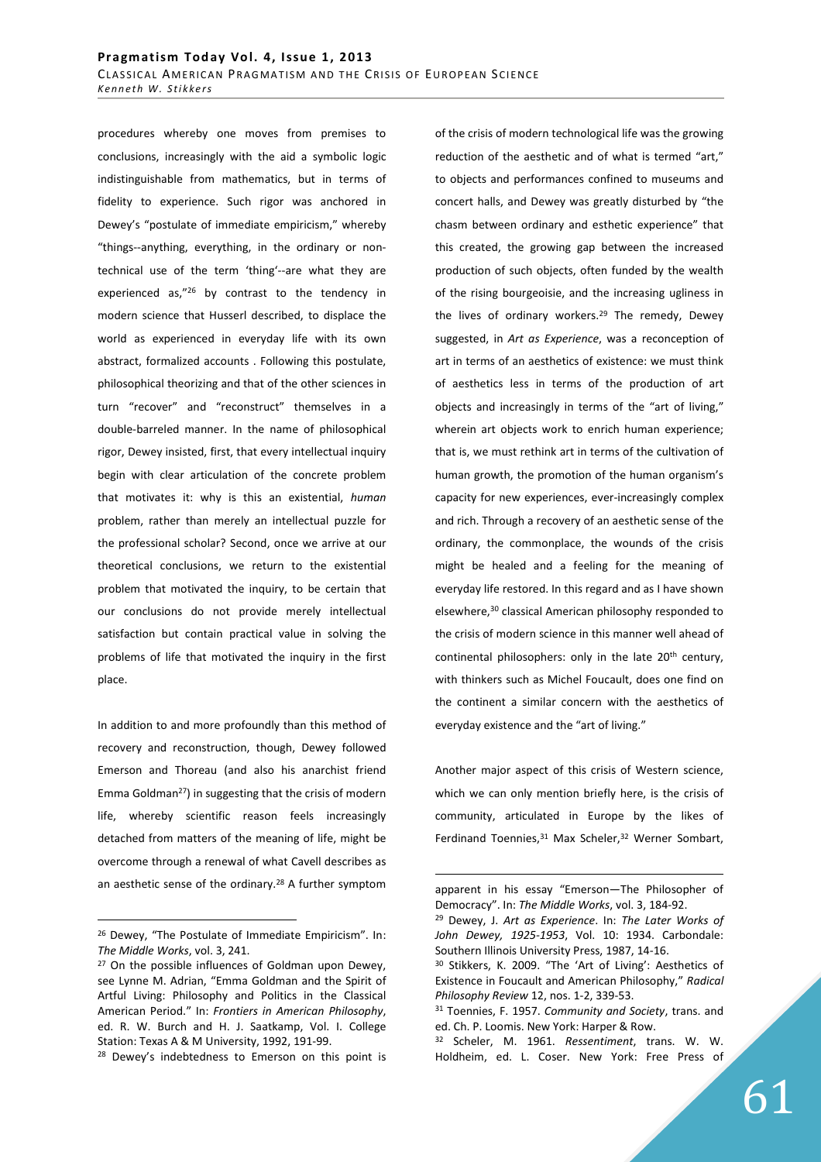procedures whereby one moves from premises to conclusions, increasingly with the aid a symbolic logic indistinguishable from mathematics, but in terms of fidelity to experience. Such rigor was anchored in Dewey's "postulate of immediate empiricism," whereby "things--anything, everything, in the ordinary or nontechnical use of the term 'thing'--are what they are experienced as,"<sup>26</sup> by contrast to the tendency in modern science that Husserl described, to displace the world as experienced in everyday life with its own abstract, formalized accounts . Following this postulate, philosophical theorizing and that of the other sciences in turn "recover" and "reconstruct" themselves in a double-barreled manner. In the name of philosophical rigor, Dewey insisted, first, that every intellectual inquiry begin with clear articulation of the concrete problem that motivates it: why is this an existential, *human* problem, rather than merely an intellectual puzzle for the professional scholar? Second, once we arrive at our theoretical conclusions, we return to the existential problem that motivated the inquiry, to be certain that our conclusions do not provide merely intellectual satisfaction but contain practical value in solving the problems of life that motivated the inquiry in the first place.

In addition to and more profoundly than this method of recovery and reconstruction, though, Dewey followed Emerson and Thoreau (and also his anarchist friend Emma Goldman<sup>27</sup>) in suggesting that the crisis of modern life, whereby scientific reason feels increasingly detached from matters of the meaning of life, might be overcome through a renewal of what Cavell describes as an aesthetic sense of the ordinary.<sup>28</sup> A further symptom

 $\overline{a}$ 

of the crisis of modern technological life was the growing reduction of the aesthetic and of what is termed "art," to objects and performances confined to museums and concert halls, and Dewey was greatly disturbed by "the chasm between ordinary and esthetic experience" that this created, the growing gap between the increased production of such objects, often funded by the wealth of the rising bourgeoisie, and the increasing ugliness in the lives of ordinary workers.<sup>29</sup> The remedy, Dewey suggested, in *Art as Experience*, was a reconception of art in terms of an aesthetics of existence: we must think of aesthetics less in terms of the production of art objects and increasingly in terms of the "art of living," wherein art objects work to enrich human experience; that is, we must rethink art in terms of the cultivation of human growth, the promotion of the human organism's capacity for new experiences, ever-increasingly complex and rich. Through a recovery of an aesthetic sense of the ordinary, the commonplace, the wounds of the crisis might be healed and a feeling for the meaning of everyday life restored. In this regard and as I have shown elsewhere,<sup>30</sup> classical American philosophy responded to the crisis of modern science in this manner well ahead of continental philosophers: only in the late 20<sup>th</sup> century, with thinkers such as Michel Foucault, does one find on the continent a similar concern with the aesthetics of everyday existence and the "art of living."

Another major aspect of this crisis of Western science, which we can only mention briefly here, is the crisis of community, articulated in Europe by the likes of Ferdinand Toennies, 31 Max Scheler, 32 Werner Sombart,

<sup>26</sup> Dewey, "The Postulate of Immediate Empiricism". In: *The Middle Works*, vol. 3, 241.

<sup>27</sup> On the possible influences of Goldman upon Dewey, see Lynne M. Adrian, "Emma Goldman and the Spirit of Artful Living: Philosophy and Politics in the Classical American Period." In: *Frontiers in American Philosophy*, ed. R. W. Burch and H. J. Saatkamp, Vol. I. College Station: Texas A & M University, 1992, 191-99.

<sup>&</sup>lt;sup>28</sup> Dewey's indebtedness to Emerson on this point is

apparent in his essay "Emerson—The Philosopher of Democracy". In: *The Middle Works*, vol. 3, 184-92.

<sup>29</sup> Dewey, J. *Art as Experience*. In: *The Later Works of John Dewey, 1925-1953*, Vol. 10: 1934. Carbondale: Southern Illinois University Press, 1987, 14-16.

<sup>30</sup> Stikkers, K. 2009. "The 'Art of Living': Aesthetics of Existence in Foucault and American Philosophy," *Radical Philosophy Review* 12, nos. 1-2, 339-53.

<sup>31</sup> Toennies, F. 1957. *Community and Society*, trans. and ed. Ch. P. Loomis. New York: Harper & Row.

<sup>32</sup> Scheler, M. 1961. *Ressentiment*, trans. W. W. Holdheim, ed. L. Coser. New York: Free Press of